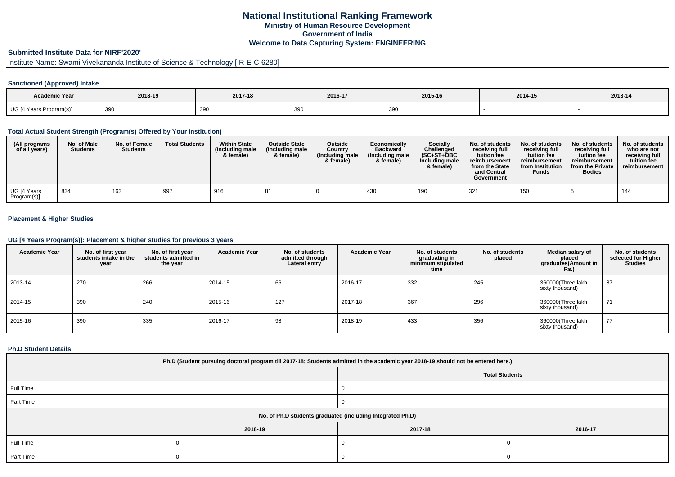# **National Institutional Ranking FrameworkMinistry of Human Resource DevelopmentGovernment of IndiaWelcome to Data Capturing System: ENGINEERING**

# **Submitted Institute Data for NIRF'2020'**

# Institute Name: Swami Vivekananda Institute of Science & Technology [IR-E-C-6280]

### **Sanctioned (Approved) Intake**

| <b>Academic Year</b>    | 2018-19 | 2017-18 | 2016-17   | 2015-16 | 2014-15 | 2013-14 |
|-------------------------|---------|---------|-----------|---------|---------|---------|
| UG [4 Years Program(s)] | 390     | 390     | 20<br>งงเ | 390     |         |         |

#### **Total Actual Student Strength (Program(s) Offered by Your Institution)**

| (All programs<br>of all years) | No. of Male<br><b>Students</b> | No. of Female<br><b>Students</b> | <b>Total Students</b> | <b>Within State</b><br>(Including male<br>& female) | <b>Outside State</b><br>(Including male<br>& female) | <b>Outside</b><br>Country<br>(Including male<br>& female) | Economically<br><b>Backward</b><br>(Including male<br>& female) | Socially<br>Challenged<br>$(SC+ST+OBC$<br>Including male<br>& female) | No. of students<br>receiving full<br>tuition fee<br>reimbursement<br>from the State<br>and Central<br>Government | No. of students<br>receiving full<br>tuition fee<br>reimbursement<br>from Institution<br><b>Funds</b> | No. of students<br>receiving full<br>tuition fee<br>reimbursement<br>from the Private<br><b>Bodies</b> | No. of students<br>who are not<br>receiving full<br>tuition fee<br>reimbursement |
|--------------------------------|--------------------------------|----------------------------------|-----------------------|-----------------------------------------------------|------------------------------------------------------|-----------------------------------------------------------|-----------------------------------------------------------------|-----------------------------------------------------------------------|------------------------------------------------------------------------------------------------------------------|-------------------------------------------------------------------------------------------------------|--------------------------------------------------------------------------------------------------------|----------------------------------------------------------------------------------|
| UG [4 Years<br>Program(s)]     | 834                            | 163                              | 997                   | 916                                                 | 81                                                   |                                                           | 430                                                             | 190                                                                   | 321                                                                                                              | 150                                                                                                   |                                                                                                        | 144                                                                              |

### **Placement & Higher Studies**

#### **UG [4 Years Program(s)]: Placement & higher studies for previous 3 years**

| <b>Academic Year</b> | No. of first year<br>students intake in the<br>year | No. of first vear<br>students admitted in<br>the year | <b>Academic Year</b> | No. of students<br>admitted through<br>Lateral entry | <b>Academic Year</b> | No. of students<br>graduating in<br>minimum stipulated<br>time | No. of students<br>placed | Median salary of<br>placed<br>graduates(Amount in<br><b>Rs.)</b> | No. of students<br>selected for Higher<br><b>Studies</b> |
|----------------------|-----------------------------------------------------|-------------------------------------------------------|----------------------|------------------------------------------------------|----------------------|----------------------------------------------------------------|---------------------------|------------------------------------------------------------------|----------------------------------------------------------|
| 2013-14              | 270                                                 | 266                                                   | 2014-15              | 66                                                   | 2016-17              | 332                                                            | 245                       | 360000(Three lakh<br>sixty thousand)                             | 87                                                       |
| 2014-15              | 390                                                 | 240                                                   | 2015-16              | 127                                                  | 2017-18              | 367                                                            | 296                       | 360000(Three lakh<br>sixty thousand)                             | 71                                                       |
| 2015-16              | 390                                                 | 335                                                   | 2016-17              | 98                                                   | 2018-19              | 433                                                            | 356                       | 360000(Three lakh<br>sixty thousand)                             | 77                                                       |

#### **Ph.D Student Details**

| Ph.D (Student pursuing doctoral program till 2017-18; Students admitted in the academic year 2018-19 should not be entered here.) |         |         |                       |  |  |
|-----------------------------------------------------------------------------------------------------------------------------------|---------|---------|-----------------------|--|--|
|                                                                                                                                   |         |         | <b>Total Students</b> |  |  |
| Full Time                                                                                                                         |         |         |                       |  |  |
| Part Time                                                                                                                         |         |         |                       |  |  |
| No. of Ph.D students graduated (including Integrated Ph.D)                                                                        |         |         |                       |  |  |
|                                                                                                                                   | 2018-19 | 2017-18 | 2016-17               |  |  |
| Full Time                                                                                                                         |         |         |                       |  |  |
| Part Time                                                                                                                         |         |         |                       |  |  |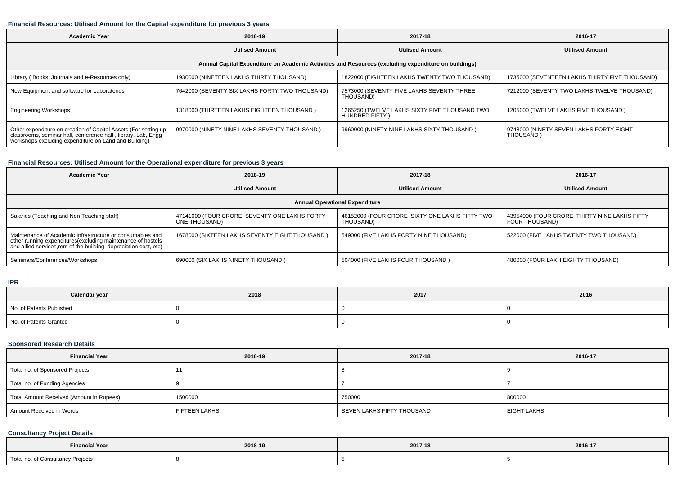### **Financial Resources: Utilised Amount for the Capital expenditure for previous 3 years**

| <b>Academic Year</b>                                                                                                                                                                      | 2018-19                                        | 2017-18                                                         | 2016-17                                              |  |  |
|-------------------------------------------------------------------------------------------------------------------------------------------------------------------------------------------|------------------------------------------------|-----------------------------------------------------------------|------------------------------------------------------|--|--|
|                                                                                                                                                                                           | <b>Utilised Amount</b>                         | <b>Utilised Amount</b>                                          | <b>Utilised Amount</b>                               |  |  |
| Annual Capital Expenditure on Academic Activities and Resources (excluding expenditure on buildings)                                                                                      |                                                |                                                                 |                                                      |  |  |
| Library (Books, Journals and e-Resources only)                                                                                                                                            | 1930000 (NINETEEN LAKHS THIRTY THOUSAND)       | 1822000 (EIGHTEEN LAKHS TWENTY TWO THOUSAND)                    | 1735000 (SEVENTEEN LAKHS THIRTY FIVE THOUSAND)       |  |  |
| New Equipment and software for Laboratories                                                                                                                                               | 7642000 (SEVENTY SIX LAKHS FORTY TWO THOUSAND) | 7573000 (SEVENTY FIVE LAKHS SEVENTY THREE<br>THOUSAND)          | 7212000 (SEVENTY TWO LAKHS TWELVE THOUSAND)          |  |  |
| <b>Engineering Workshops</b>                                                                                                                                                              | 1318000 (THIRTEEN LAKHS EIGHTEEN THOUSAND)     | 1265250 (TWELVE LAKHS SIXTY FIVE THOUSAND TWO<br>HUNDRED FIFTY) | 1205000 (TWELVE LAKHS FIVE THOUSAND)                 |  |  |
| Other expenditure on creation of Capital Assets (For setting up<br>classrooms, seminar hall, conference hall, library, Lab, Engq<br>workshops excluding expenditure on Land and Building) | 9970000 (NINETY NINE LAKHS SEVENTY THOUSAND)   | 9960000 (NINETY NINE LAKHS SIXTY THOUSAND)                      | 9748000 (NINETY SEVEN LAKHS FORTY EIGHT<br>THOUSAND) |  |  |

### **Financial Resources: Utilised Amount for the Operational expenditure for previous 3 years**

| <b>Academic Year</b>                                                                                                                                                                            | 2018-19                                                       | 2017-18                                                     | 2016-17                                                        |  |  |  |
|-------------------------------------------------------------------------------------------------------------------------------------------------------------------------------------------------|---------------------------------------------------------------|-------------------------------------------------------------|----------------------------------------------------------------|--|--|--|
|                                                                                                                                                                                                 | <b>Utilised Amount</b>                                        | <b>Utilised Amount</b>                                      | <b>Utilised Amount</b>                                         |  |  |  |
| <b>Annual Operational Expenditure</b>                                                                                                                                                           |                                                               |                                                             |                                                                |  |  |  |
| Salaries (Teaching and Non Teaching staff)                                                                                                                                                      | 47141000 (FOUR CRORE SEVENTY ONE LAKHS FORTY<br>ONE THOUSAND) | 46152000 (FOUR CRORE SIXTY ONE LAKHS FIFTY TWO<br>THOUSAND) | 43954000 (FOUR CRORE THIRTY NINE LAKHS FIFTY<br>FOUR THOUSAND) |  |  |  |
| Maintenance of Academic Infrastructure or consumables and<br>other running expenditures (excluding maintenance of hostels<br>and allied services, rent of the building, depreciation cost, etc) | 1678000 (SIXTEEN LAKHS SEVENTY EIGHT THOUSAND)                | 549000 (FIVE LAKHS FORTY NINE THOUSAND)                     | 522000 (FIVE LAKHS TWENTY TWO THOUSAND)                        |  |  |  |
| Seminars/Conferences/Workshops                                                                                                                                                                  | 690000 (SIX LAKHS NINETY THOUSAND)                            | 504000 (FIVE LAKHS FOUR THOUSAND)                           | 480000 (FOUR LAKH EIGHTY THOUSAND)                             |  |  |  |

### **IPR**

| Calendar year            | 2018 | 2017 | 2016 |
|--------------------------|------|------|------|
| No. of Patents Published |      |      |      |
| No. of Patents Granted   |      |      |      |

### **Sponsored Research Details**

| <b>Financial Year</b>                    | 2018-19              | 2017-18                    | 2016-17            |
|------------------------------------------|----------------------|----------------------------|--------------------|
| Total no. of Sponsored Projects          |                      |                            |                    |
| Total no. of Funding Agencies            |                      |                            |                    |
| Total Amount Received (Amount in Rupees) | 1500000              | 750000                     | 800000             |
| Amount Received in Words                 | <b>FIFTEEN LAKHS</b> | SEVEN LAKHS FIFTY THOUSAND | <b>EIGHT LAKHS</b> |

## **Consultancy Project Details**

| <b>Financial Year</b>                                                                                           | 2018-19 | the contract of the contract of the contract of |         |
|-----------------------------------------------------------------------------------------------------------------|---------|-------------------------------------------------|---------|
| the contract of the contract of the contract of the contract of the contract of the contract of the contract of |         | 2017-18                                         | 2016-17 |
| Total no. of Consultancy Projects                                                                               |         |                                                 |         |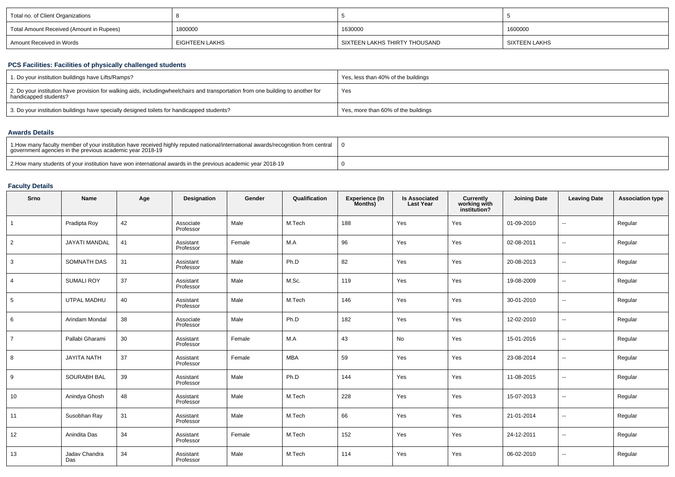| Total no. of Client Organizations        |                |                               |                 |
|------------------------------------------|----------------|-------------------------------|-----------------|
| Total Amount Received (Amount in Rupees) | 1800000        | 1630000                       | 1600000         |
| Amount Received in Words                 | EIGHTEEN LAKHS | SIXTEEN LAKHS THIRTY THOUSAND | I SIXTEEN LAKHS |

## **PCS Facilities: Facilities of physically challenged students**

| 1. Do your institution buildings have Lifts/Ramps?                                                                                                        | Yes, less than 40% of the buildings |
|-----------------------------------------------------------------------------------------------------------------------------------------------------------|-------------------------------------|
| 2. Do your institution have provision for walking aids, includingwheelchairs and transportation from one building to another for<br>handicapped students? | Yes                                 |
| 3. Do your institution buildings have specially designed toilets for handicapped students?                                                                | Yes, more than 60% of the buildings |

### **Awards Details**

| 1. How many faculty member of your institution have received highly reputed national/international awards/recognition from central<br>government agencies in the previous academic year 2018-19 |  |
|-------------------------------------------------------------------------------------------------------------------------------------------------------------------------------------------------|--|
| 2. How many students of your institution have won international awards in the previous academic year 2018-19                                                                                    |  |

### **Faculty Details**

| Srno            | Name                 | Age | Designation            | Gender | Qualification | Experience (In<br>Months) | Is Associated<br>Last Year | <b>Currently</b><br>working with<br>institution? | <b>Joining Date</b> | <b>Leaving Date</b>      | <b>Association type</b> |
|-----------------|----------------------|-----|------------------------|--------|---------------|---------------------------|----------------------------|--------------------------------------------------|---------------------|--------------------------|-------------------------|
| $\mathbf{1}$    | Pradipta Roy         | 42  | Associate<br>Professor | Male   | M.Tech        | 188                       | Yes                        | Yes                                              | 01-09-2010          | $\overline{\phantom{a}}$ | Regular                 |
| $\overline{2}$  | <b>JAYATI MANDAL</b> | 41  | Assistant<br>Professor | Female | M.A           | 96                        | Yes                        | Yes                                              | 02-08-2011          | $\overline{\phantom{a}}$ | Regular                 |
| 3               | <b>SOMNATH DAS</b>   | 31  | Assistant<br>Professor | Male   | Ph.D          | 82                        | Yes                        | Yes                                              | 20-08-2013          | --                       | Regular                 |
| $\overline{4}$  | <b>SUMALI ROY</b>    | 37  | Assistant<br>Professor | Male   | M.Sc.         | 119                       | Yes                        | Yes                                              | 19-08-2009          | $\overline{\phantom{a}}$ | Regular                 |
| $5\phantom{.0}$ | UTPAL MADHU          | 40  | Assistant<br>Professor | Male   | M.Tech        | 146                       | Yes                        | Yes                                              | 30-01-2010          | $\sim$                   | Regular                 |
| 6               | Arindam Mondal       | 38  | Associate<br>Professor | Male   | Ph.D          | 182                       | Yes                        | Yes                                              | 12-02-2010          | $\overline{\phantom{a}}$ | Regular                 |
| $\overline{7}$  | Pallabi Gharami      | 30  | Assistant<br>Professor | Female | M.A           | 43                        | No                         | Yes                                              | 15-01-2016          | --                       | Regular                 |
| 8               | <b>JAYITA NATH</b>   | 37  | Assistant<br>Professor | Female | <b>MBA</b>    | 59                        | Yes                        | Yes                                              | 23-08-2014          | $\overline{\phantom{a}}$ | Regular                 |
| 9               | <b>SOURABH BAL</b>   | 39  | Assistant<br>Professor | Male   | Ph.D          | 144                       | Yes                        | Yes                                              | 11-08-2015          | $\overline{\phantom{a}}$ | Regular                 |
| 10              | Anindya Ghosh        | 48  | Assistant<br>Professor | Male   | M.Tech        | 228                       | Yes                        | Yes                                              | 15-07-2013          | $\overline{\phantom{a}}$ | Regular                 |
| 11              | Susobhan Ray         | 31  | Assistant<br>Professor | Male   | M.Tech        | 66                        | Yes                        | Yes                                              | 21-01-2014          | --                       | Regular                 |
| 12              | Anindita Das         | 34  | Assistant<br>Professor | Female | M.Tech        | 152                       | Yes                        | Yes                                              | 24-12-2011          | $\overline{\phantom{a}}$ | Regular                 |
| 13              | Jadav Chandra<br>Das | 34  | Assistant<br>Professor | Male   | M.Tech        | 114                       | Yes                        | Yes                                              | 06-02-2010          | $\overline{\phantom{a}}$ | Regular                 |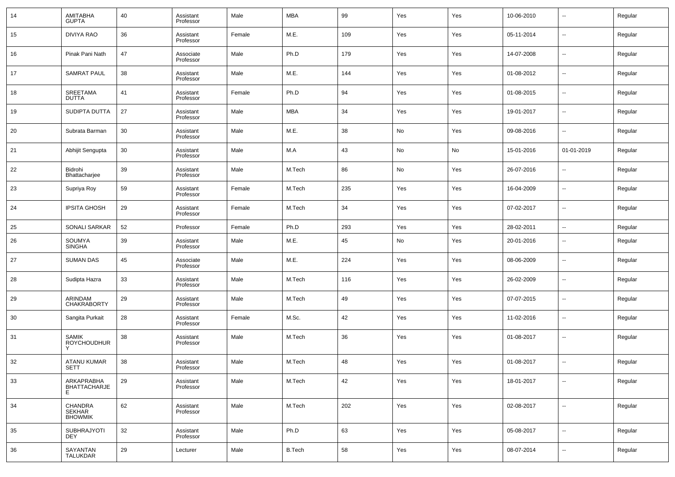| 14 | AMITABHA<br><b>GUPTA</b>               | 40 | Assistant<br>Professor | Male   | <b>MBA</b>    | 99  | Yes | Yes | 10-06-2010 | --                       | Regular |
|----|----------------------------------------|----|------------------------|--------|---------------|-----|-----|-----|------------|--------------------------|---------|
| 15 | <b>DIVIYA RAO</b>                      | 36 | Assistant<br>Professor | Female | M.E.          | 109 | Yes | Yes | 05-11-2014 | --                       | Regular |
| 16 | Pinak Pani Nath                        | 47 | Associate<br>Professor | Male   | Ph.D          | 179 | Yes | Yes | 14-07-2008 | --                       | Regular |
| 17 | <b>SAMRAT PAUL</b>                     | 38 | Assistant<br>Professor | Male   | M.E.          | 144 | Yes | Yes | 01-08-2012 | $\sim$                   | Regular |
| 18 | SREETAMA<br><b>DUTTA</b>               | 41 | Assistant<br>Professor | Female | Ph.D          | 94  | Yes | Yes | 01-08-2015 | --                       | Regular |
| 19 | SUDIPTA DUTTA                          | 27 | Assistant<br>Professor | Male   | <b>MBA</b>    | 34  | Yes | Yes | 19-01-2017 | --                       | Regular |
| 20 | Subrata Barman                         | 30 | Assistant<br>Professor | Male   | M.E.          | 38  | No  | Yes | 09-08-2016 | --                       | Regular |
| 21 | Abhijit Sengupta                       | 30 | Assistant<br>Professor | Male   | M.A           | 43  | No  | No  | 15-01-2016 | 01-01-2019               | Regular |
| 22 | Bidrohi<br>Bhattacharjee               | 39 | Assistant<br>Professor | Male   | M.Tech        | 86  | No  | Yes | 26-07-2016 | --                       | Regular |
| 23 | Supriya Roy                            | 59 | Assistant<br>Professor | Female | M.Tech        | 235 | Yes | Yes | 16-04-2009 | --                       | Regular |
| 24 | <b>IPSITA GHOSH</b>                    | 29 | Assistant<br>Professor | Female | M.Tech        | 34  | Yes | Yes | 07-02-2017 | --                       | Regular |
| 25 | SONALI SARKAR                          | 52 | Professor              | Female | Ph.D          | 293 | Yes | Yes | 28-02-2011 | $\sim$                   | Regular |
| 26 | SOUMYA<br><b>SINGHA</b>                | 39 | Assistant<br>Professor | Male   | M.E.          | 45  | No  | Yes | 20-01-2016 | --                       | Regular |
| 27 | <b>SUMAN DAS</b>                       | 45 | Associate<br>Professor | Male   | M.E.          | 224 | Yes | Yes | 08-06-2009 | --                       | Regular |
| 28 | Sudipta Hazra                          | 33 | Assistant<br>Professor | Male   | M.Tech        | 116 | Yes | Yes | 26-02-2009 | --                       | Regular |
| 29 | ARINDAM<br><b>CHAKRABORTY</b>          | 29 | Assistant<br>Professor | Male   | M.Tech        | 49  | Yes | Yes | 07-07-2015 | --                       | Regular |
| 30 | Sangita Purkait                        | 28 | Assistant<br>Professor | Female | M.Sc.         | 42  | Yes | Yes | 11-02-2016 | --                       | Regular |
| 31 | <b>SAMIK</b><br><b>ROYCHOUDHUR</b>     | 38 | Assistant<br>Professor | Male   | M.Tech        | 36  | Yes | Yes | 01-08-2017 | --                       | Regular |
| 32 | <b>ATANU KUMAR</b><br>SETT             | 38 | Assistant<br>Professor | Male   | M.Tech        | 48  | Yes | Yes | 01-08-2017 | --                       | Regular |
| 33 | ARKAPRABHA<br><b>BHATTACHARJE</b><br>E | 29 | Assistant<br>Professor | Male   | M.Tech        | 42  | Yes | Yes | 18-01-2017 | $\sim$                   | Regular |
| 34 | CHANDRA<br>SEKHAR<br><b>BHOWMIK</b>    | 62 | Assistant<br>Professor | Male   | M.Tech        | 202 | Yes | Yes | 02-08-2017 | $\overline{\phantom{a}}$ | Regular |
| 35 | SUBHRAJYOTI<br><b>DEY</b>              | 32 | Assistant<br>Professor | Male   | Ph.D          | 63  | Yes | Yes | 05-08-2017 | $\sim$                   | Regular |
| 36 | SAYANTAN<br>TALUKDAR                   | 29 | Lecturer               | Male   | <b>B.Tech</b> | 58  | Yes | Yes | 08-07-2014 | $\sim$                   | Regular |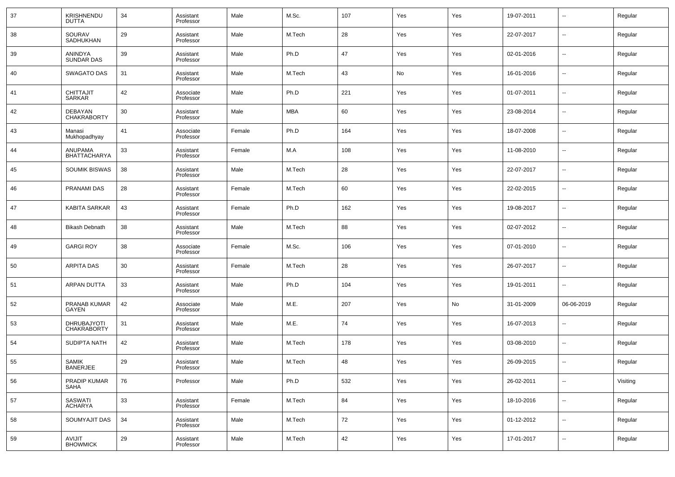| 37 | KRISHNENDU<br><b>DUTTA</b>           | 34 | Assistant<br>Professor | Male   | M.Sc.  | 107    | Yes | Yes | 19-07-2011 | --                       | Regular  |
|----|--------------------------------------|----|------------------------|--------|--------|--------|-----|-----|------------|--------------------------|----------|
| 38 | SOURAV<br>SADHUKHAN                  | 29 | Assistant<br>Professor | Male   | M.Tech | 28     | Yes | Yes | 22-07-2017 | --                       | Regular  |
| 39 | ANINDYA<br><b>SUNDAR DAS</b>         | 39 | Assistant<br>Professor | Male   | Ph.D   | 47     | Yes | Yes | 02-01-2016 | --                       | Regular  |
| 40 | <b>SWAGATO DAS</b>                   | 31 | Assistant<br>Professor | Male   | M.Tech | 43     | No  | Yes | 16-01-2016 | --                       | Regular  |
| 41 | <b>CHITTAJIT</b><br><b>SARKAR</b>    | 42 | Associate<br>Professor | Male   | Ph.D   | 221    | Yes | Yes | 01-07-2011 | --                       | Regular  |
| 42 | <b>DEBAYAN</b><br><b>CHAKRABORTY</b> | 30 | Assistant<br>Professor | Male   | MBA    | 60     | Yes | Yes | 23-08-2014 | --                       | Regular  |
| 43 | Manasi<br>Mukhopadhyay               | 41 | Associate<br>Professor | Female | Ph.D   | 164    | Yes | Yes | 18-07-2008 | --                       | Regular  |
| 44 | ANUPAMA<br><b>BHATTACHARYA</b>       | 33 | Assistant<br>Professor | Female | M.A    | 108    | Yes | Yes | 11-08-2010 | --                       | Regular  |
| 45 | <b>SOUMIK BISWAS</b>                 | 38 | Assistant<br>Professor | Male   | M.Tech | 28     | Yes | Yes | 22-07-2017 | --                       | Regular  |
| 46 | <b>PRANAMI DAS</b>                   | 28 | Assistant<br>Professor | Female | M.Tech | 60     | Yes | Yes | 22-02-2015 | --                       | Regular  |
| 47 | <b>KABITA SARKAR</b>                 | 43 | Assistant<br>Professor | Female | Ph.D   | 162    | Yes | Yes | 19-08-2017 | --                       | Regular  |
| 48 | <b>Bikash Debnath</b>                | 38 | Assistant<br>Professor | Male   | M.Tech | 88     | Yes | Yes | 02-07-2012 | --                       | Regular  |
| 49 | <b>GARGI ROY</b>                     | 38 | Associate<br>Professor | Female | M.Sc.  | 106    | Yes | Yes | 07-01-2010 | --                       | Regular  |
| 50 | <b>ARPITA DAS</b>                    | 30 | Assistant<br>Professor | Female | M.Tech | 28     | Yes | Yes | 26-07-2017 | --                       | Regular  |
| 51 | <b>ARPAN DUTTA</b>                   | 33 | Assistant<br>Professor | Male   | Ph.D   | 104    | Yes | Yes | 19-01-2011 | --                       | Regular  |
| 52 | PRANAB KUMAR<br>GAYEN                | 42 | Associate<br>Professor | Male   | M.E.   | 207    | Yes | No  | 31-01-2009 | 06-06-2019               | Regular  |
| 53 | DHRUBAJYOTI<br><b>CHAKRABORTY</b>    | 31 | Assistant<br>Professor | Male   | M.E.   | 74     | Yes | Yes | 16-07-2013 | --                       | Regular  |
| 54 | <b>SUDIPTA NATH</b>                  | 42 | Assistant<br>Professor | Male   | M.Tech | 178    | Yes | Yes | 03-08-2010 | --                       | Regular  |
| 55 | SAMIK<br><b>BANERJEE</b>             | 29 | Assistant<br>Professor | Male   | M.Tech | 48     | Yes | Yes | 26-09-2015 | --                       | Regular  |
| 56 | PRADIP KUMAR<br>SAHA                 | 76 | Professor              | Male   | Ph.D   | 532    | Yes | Yes | 26-02-2011 | $\sim$                   | Visiting |
| 57 | SASWATI<br>ACHARYA                   | 33 | Assistant<br>Professor | Female | M.Tech | 84     | Yes | Yes | 18-10-2016 | $\overline{\phantom{a}}$ | Regular  |
| 58 | SOUMYAJIT DAS                        | 34 | Assistant<br>Professor | Male   | M.Tech | $72\,$ | Yes | Yes | 01-12-2012 | $\sim$                   | Regular  |
| 59 | AVIJIT<br><b>BHOWMICK</b>            | 29 | Assistant<br>Professor | Male   | M.Tech | 42     | Yes | Yes | 17-01-2017 | $\sim$                   | Regular  |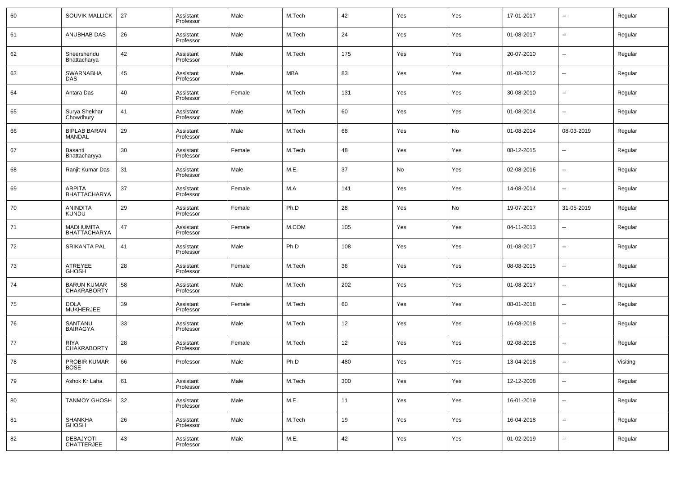| 60 | SOUVIK MALLICK                           | 27 | Assistant<br>Professor | Male   | M.Tech | 42  | Yes | Yes | 17-01-2017 | $\overline{\phantom{a}}$ | Regular  |
|----|------------------------------------------|----|------------------------|--------|--------|-----|-----|-----|------------|--------------------------|----------|
| 61 | ANUBHAB DAS                              | 26 | Assistant<br>Professor | Male   | M.Tech | 24  | Yes | Yes | 01-08-2017 | $\overline{\phantom{a}}$ | Regular  |
| 62 | Sheershendu<br>Bhattacharya              | 42 | Assistant<br>Professor | Male   | M.Tech | 175 | Yes | Yes | 20-07-2010 | $\overline{\phantom{a}}$ | Regular  |
| 63 | <b>SWARNABHA</b><br>DAS.                 | 45 | Assistant<br>Professor | Male   | MBA    | 83  | Yes | Yes | 01-08-2012 | $\overline{\phantom{a}}$ | Regular  |
| 64 | Antara Das                               | 40 | Assistant<br>Professor | Female | M.Tech | 131 | Yes | Yes | 30-08-2010 | $\overline{\phantom{a}}$ | Regular  |
| 65 | Surya Shekhar<br>Chowdhury               | 41 | Assistant<br>Professor | Male   | M.Tech | 60  | Yes | Yes | 01-08-2014 | $\overline{\phantom{a}}$ | Regular  |
| 66 | <b>BIPLAB BARAN</b><br><b>MANDAL</b>     | 29 | Assistant<br>Professor | Male   | M.Tech | 68  | Yes | No  | 01-08-2014 | 08-03-2019               | Regular  |
| 67 | Basanti<br>Bhattacharyya                 | 30 | Assistant<br>Professor | Female | M.Tech | 48  | Yes | Yes | 08-12-2015 | $\overline{\phantom{a}}$ | Regular  |
| 68 | Ranjit Kumar Das                         | 31 | Assistant<br>Professor | Male   | M.E.   | 37  | No  | Yes | 02-08-2016 | $\overline{\phantom{a}}$ | Regular  |
| 69 | <b>ARPITA</b><br><b>BHATTACHARYA</b>     | 37 | Assistant<br>Professor | Female | M.A    | 141 | Yes | Yes | 14-08-2014 | $\overline{\phantom{a}}$ | Regular  |
| 70 | <b>ANINDITA</b><br><b>KUNDU</b>          | 29 | Assistant<br>Professor | Female | Ph.D   | 28  | Yes | No  | 19-07-2017 | 31-05-2019               | Regular  |
| 71 | MADHUMITA<br><b>BHATTACHARYA</b>         | 47 | Assistant<br>Professor | Female | M.COM  | 105 | Yes | Yes | 04-11-2013 | $\overline{\phantom{a}}$ | Regular  |
| 72 | <b>SRIKANTA PAL</b>                      | 41 | Assistant<br>Professor | Male   | Ph.D   | 108 | Yes | Yes | 01-08-2017 | $\overline{\phantom{a}}$ | Regular  |
| 73 | ATREYEE<br><b>GHOSH</b>                  | 28 | Assistant<br>Professor | Female | M.Tech | 36  | Yes | Yes | 08-08-2015 | $\overline{\phantom{a}}$ | Regular  |
| 74 | <b>BARUN KUMAR</b><br><b>CHAKRABORTY</b> | 58 | Assistant<br>Professor | Male   | M.Tech | 202 | Yes | Yes | 01-08-2017 | $\overline{\phantom{a}}$ | Regular  |
| 75 | <b>DOLA</b><br><b>MUKHERJEE</b>          | 39 | Assistant<br>Professor | Female | M.Tech | 60  | Yes | Yes | 08-01-2018 | $\overline{\phantom{a}}$ | Regular  |
| 76 | SANTANU<br><b>BAIRAGYA</b>               | 33 | Assistant<br>Professor | Male   | M.Tech | 12  | Yes | Yes | 16-08-2018 | $\overline{\phantom{a}}$ | Regular  |
| 77 | RIYA<br><b>CHAKRABORTY</b>               | 28 | Assistant<br>Professor | Female | M.Tech | 12  | Yes | Yes | 02-08-2018 | $\overline{\phantom{a}}$ | Regular  |
| 78 | PROBIR KUMAR<br>BOSE                     | 66 | Professor              | Male   | Ph.D   | 480 | Yes | Yes | 13-04-2018 | $\overline{\phantom{a}}$ | Visiting |
| 79 | Ashok Kr Laha                            | 61 | Assistant<br>Professor | Male   | M.Tech | 300 | Yes | Yes | 12-12-2008 | $\sim$                   | Regular  |
| 80 | <b>TANMOY GHOSH</b>                      | 32 | Assistant<br>Professor | Male   | M.E.   | 11  | Yes | Yes | 16-01-2019 | $\sim$                   | Regular  |
| 81 | SHANKHA<br>GHOSH                         | 26 | Assistant<br>Professor | Male   | M.Tech | 19  | Yes | Yes | 16-04-2018 | $\sim$                   | Regular  |
| 82 | DEBAJYOTI<br>CHATTERJEE                  | 43 | Assistant<br>Professor | Male   | M.E.   | 42  | Yes | Yes | 01-02-2019 | $\overline{\phantom{a}}$ | Regular  |